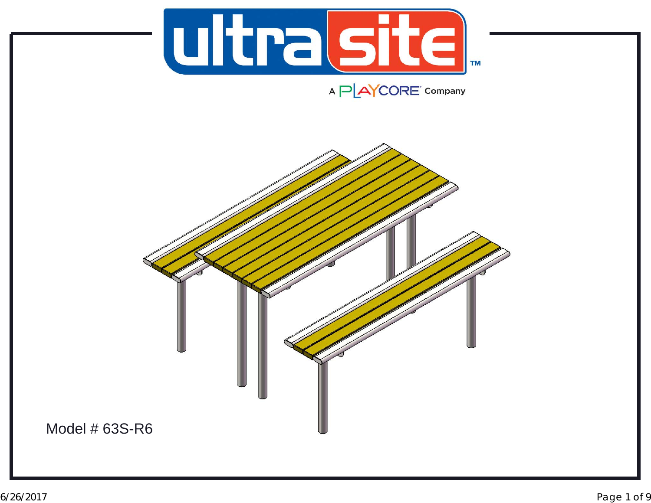

A PLAYCORE Company

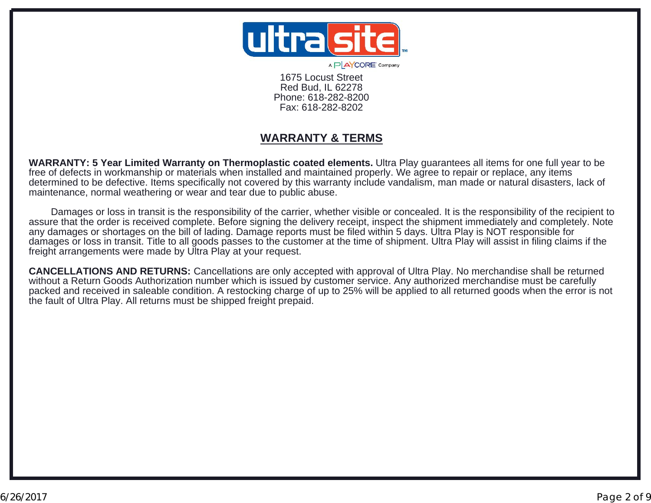

A P AYCORE' Company

1675 Locust StreetRed Bud, IL 62278 Phone: 618-282-8200Fax: 618-282-8202

#### **WARRANTY & TERMS**

**WARRANTY: 5 Year Limited Warranty on Thermoplastic coated elements.** Ultra Play guarantees all items for one full year to be free of defects in workmanship or materials when installed and maintained properly. We agree to repair or replace, any items determined to be defective. Items specifically not covered by this warranty include vandalism, man made or natural disasters, lack of maintenance, normal weathering or wear and tear due to public abuse.

 Damages or loss in transit is the responsibility of the carrier, whether visible or concealed. It is the responsibility of the recipient to assure that the order is received complete. Before signing the delivery receipt, inspect the shipment immediately and completely. Note any damages or shortages on the bill of lading. Damage reports must be filed within 5 days. Ultra Play is NOT responsible for damages or loss in transit. Title to all goods passes to the customer at the time of shipment. Ultra Play will assist in filing claims if the freight arrangements were made by Ultra Play at your request.

**CANCELLATIONS AND RETURNS:** Cancellations are only accepted with approval of Ultra Play. No merchandise shall be returned without a Return Goods Authorization number which is issued by customer service. Any authorized merchandise must be carefully packed and received in saleable condition. A restocking charge of up to 25% will be applied to all returned goods when the error is not the fault of Ultra Play. All returns must be shipped freight prepaid.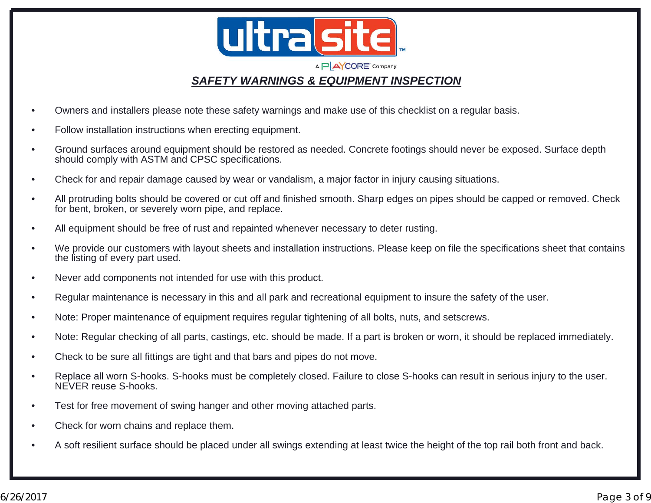

#### *SAFETY WARNINGS & EQUIPMENT INSPECTION*

- •Owners and installers please note these safety warnings and make use of this checklist on a regular basis.
- •Follow installation instructions when erecting equipment.
- • Ground surfaces around equipment should be restored as needed. Concrete footings should never be exposed. Surface depth should comply with ASTM and CPSC specifications.
- •Check for and repair damage caused by wear or vandalism, a major factor in injury causing situations.
- • All protruding bolts should be covered or cut off and finished smooth. Sharp edges on pipes should be capped or removed. Check for bent, broken, or severely worn pipe, and replace.
- •All equipment should be free of rust and repainted whenever necessary to deter rusting.
- • We provide our customers with layout sheets and installation instructions. Please keep on file the specifications sheet that contains the listing of every part used.
- •Never add components not intended for use with this product.
- •Regular maintenance is necessary in this and all park and recreational equipment to insure the safety of the user.
- •Note: Proper maintenance of equipment requires regular tightening of all bolts, nuts, and setscrews.
- •Note: Regular checking of all parts, castings, etc. should be made. If a part is broken or worn, it should be replaced immediately.
- •Check to be sure all fittings are tight and that bars and pipes do not move.
- • Replace all worn S-hooks. S-hooks must be completely closed. Failure to close S-hooks can result in serious injury to the user. NEVER reuse S-hooks.
- •Test for free movement of swing hanger and other moving attached parts.
- •Check for worn chains and replace them.
- •A soft resilient surface should be placed under all swings extending at least twice the height of the top rail both front and back.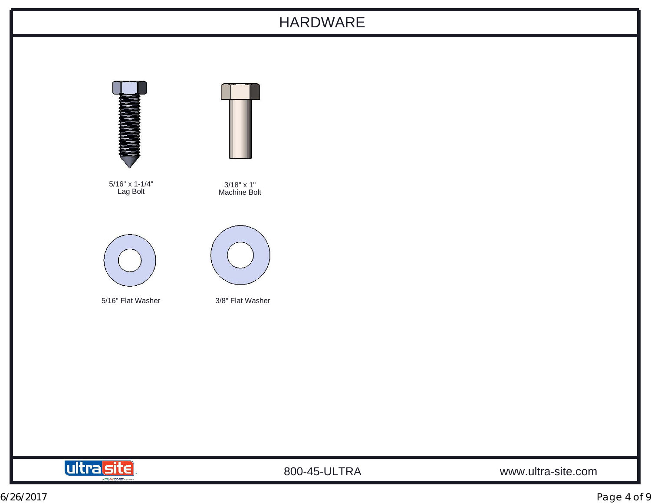### HARDWARE





800-45-ULTRA www.ultra-site.com

6/26/2017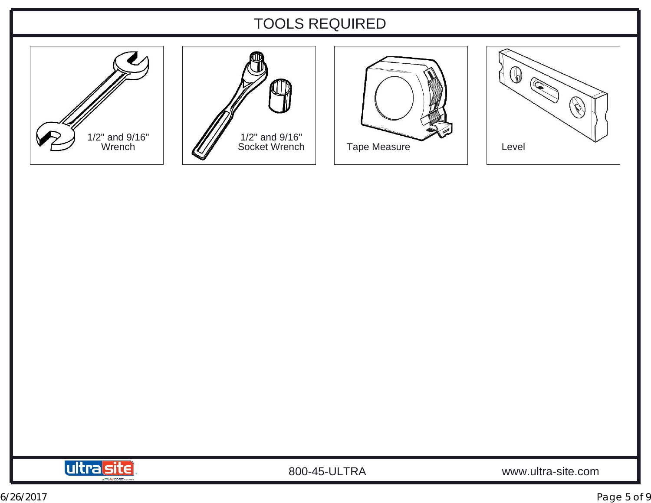## TOOLS REQUIRED











800-45-ULTRA www.ultra-site.com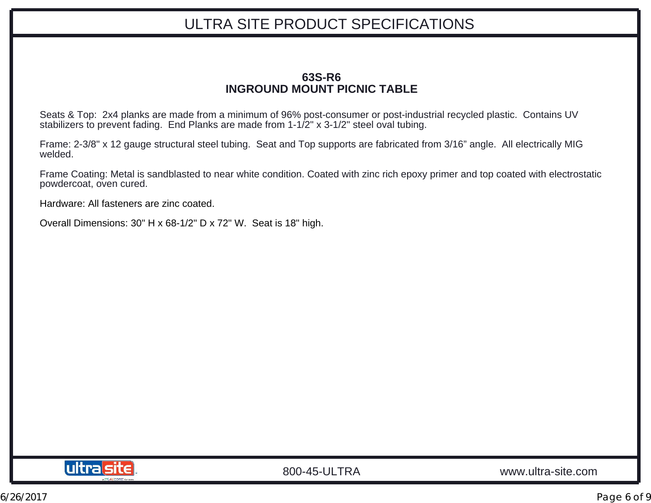# ULTRA SITE PRODUCT SPECIFICATIONS

#### **63S-R6INGROUND MOUNT PICNIC TABLE**

Seats & Top: 2x4 planks are made from a minimum of 96% post-consumer or post-industrial recycled plastic. Contains UV stabilizers to prevent fading. End Planks are made from 1-1/2" x 3-1/2" steel oval tubing.

Frame: 2-3/8" x 12 gauge structural steel tubing. Seat and Top supports are fabricated from 3/16" angle. All electrically MIG welded.

Frame Coating: Metal is sandblasted to near white condition. Coated with zinc rich epoxy primer and top coated with electrostatic powdercoat, oven cured.

Hardware: All fasteners are zinc coated.

Overall Dimensions: 30" H x 68-1/2" D x 72" W. Seat is 18" high.

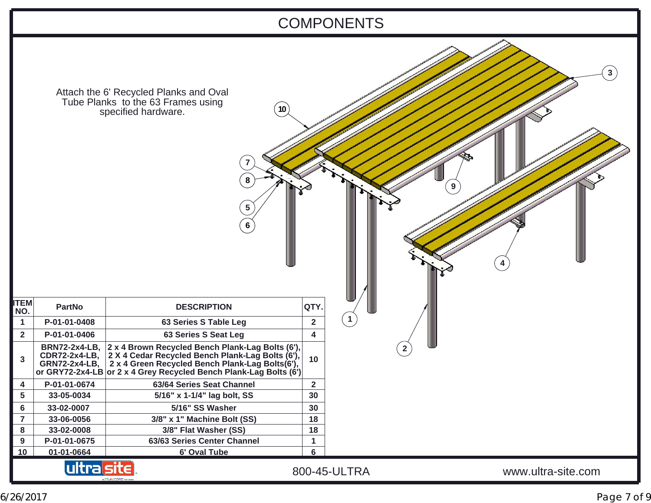

6/26/2017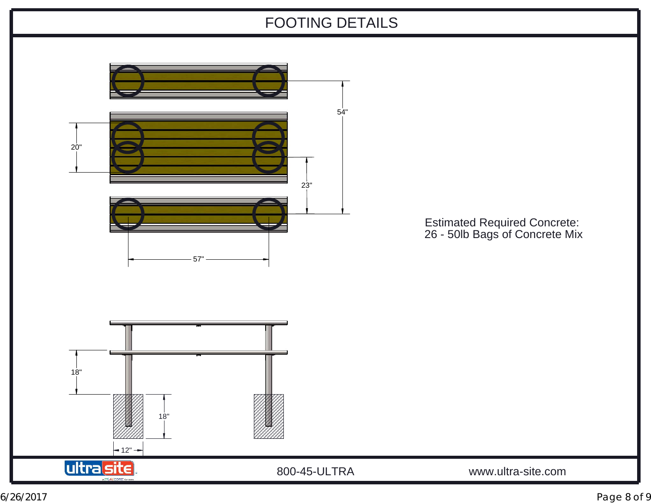# FOOTING DETAILS